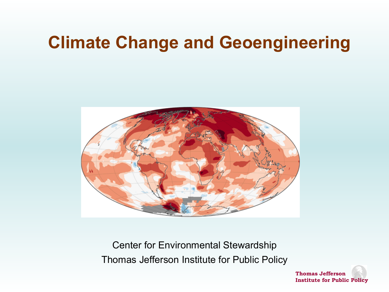## **Climate Change and Geoengineering**



Center for Environmental Stewardship Thomas Jefferson Institute for Public Policy

> **Thomas Jefferson Institute for Public Policy**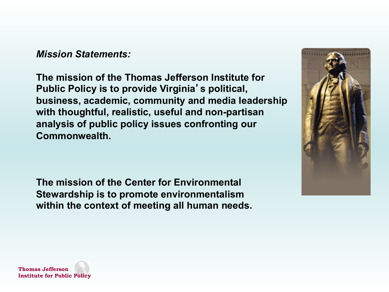*Mission Statements:*

**The mission of the Thomas Jefferson Institute for Public Policy is to provide Virginia**'**s political, business, academic, community and media leadership with thoughtful, realistic, useful and non-partisan analysis of public policy issues confronting our Commonwealth.**

**The mission of the Center for Environmental Stewardship is to promote environmentalism within the context of meeting all human needs.**



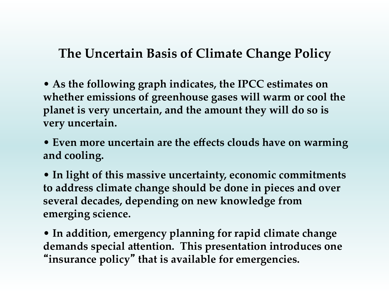#### **The Uncertain Basis of Climate Change Policy**

• **As the following graph indicates, the IPCC estimates on whether emissions of greenhouse gases will warm or cool the planet is very uncertain, and the amount they will do so is very uncertain.** 

• **Even more uncertain are the effects clouds have on warming and cooling.** 

• **In light of this massive uncertainty, economic commitments to address climate change should be done in pieces and over several decades, depending on new knowledge from emerging science.** 

• **In addition, emergency planning for rapid climate change**  demands special attention. This presentation introduces one "**insurance policy**" **that is available for emergencies.**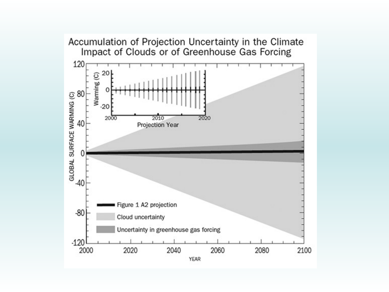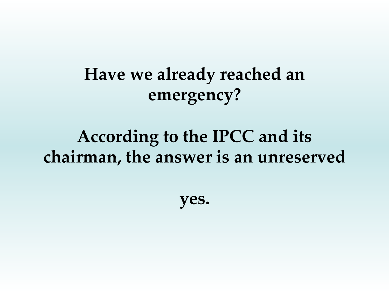**Have we already reached an emergency?** 

## **According to the IPCC and its**  chairman, the answer is an unreserved

**yes.**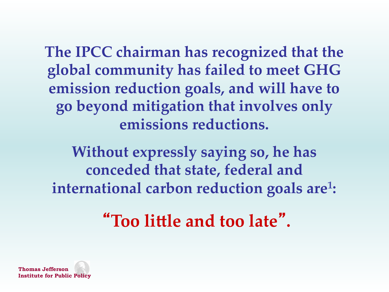**The IPCC chairman has recognized that the global community has failed to meet GHG emission reduction goals, and will have to go beyond mitigation that involves only emissions reductions.**

**Without expressly saying so, he has conceded that state, federal and international carbon reduction goals are<sup>1</sup>:** 

"Too little and too late".

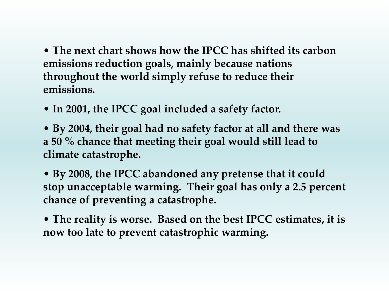• **The next chart shows how the IPCC has shifted its carbon emissions reduction goals, mainly because nations throughout the world simply refuse to reduce their emissions.** 

- In 2001, the IPCC goal included a safety factor.
- • **By 2004, their goal had no safety factor at all and there was a 50 % chance that meeting their goal would still lead to climate catastrophe.**

• **By 2008, the IPCC abandoned any pretense that it could stop unacceptable warming. Their goal has only a 2.5 percent chance of preventing a catastrophe.** 

• **The reality is worse. Based on the best IPCC estimates, it is now too late to prevent catastrophic warming.**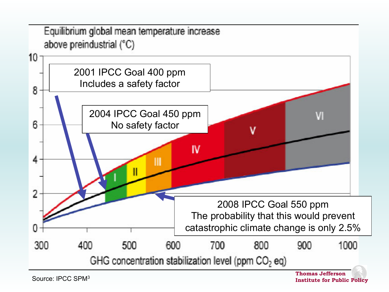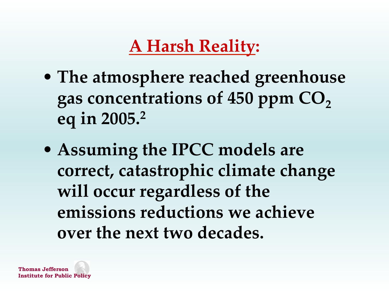# **A Harsh Reality:**

- **The atmosphere reached greenhouse**  gas concentrations of 450 ppm  $CO<sub>2</sub>$ **eq in 2005.2**
- **Assuming the IPCC models are correct, catastrophic climate change will occur regardless of the emissions reductions we achieve over the next two decades.**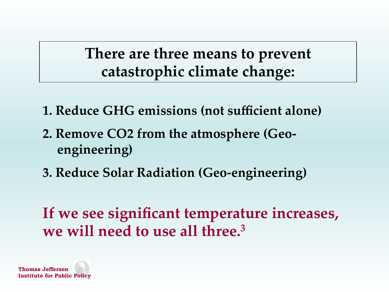**There are three means to prevent catastrophic climate change:** 

- **1. Reduce GHG emissions (not sufficient alone)**
- **2. Remove CO2 from the atmosphere (Geoengineering)**
- **3. Reduce Solar Radiation (Geo-engineering)**

**If we see significant temperature increases,**  we will need to use all three.<sup>3</sup>

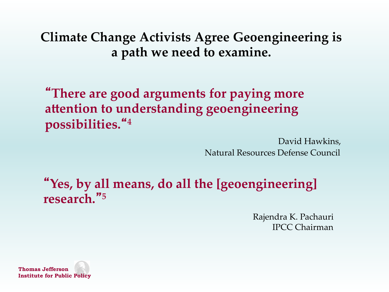**Climate Change Activists Agree Geoengineering is**  a path we need to examine.

"**There are good arguments for paying more**  attention to understanding geoengineering **possibilities.**"**4** 

> David Hawkins, Natural Resources Defense Council

"**Yes, by all means, do all the [geoengineering] research.**"**<sup>5</sup>** 

> Rajendra K. Pachauri IPCC Chairman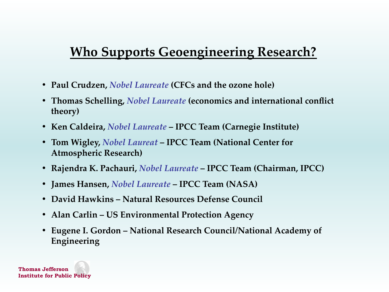#### **Who Supports Geoengineering Research?**

- **• Paul Crudzen,** *Nobel Laureate* **(CFCs and the ozone hole)**
- **• Thomas Schelling,** *Nobel Laureate* **(economics and international conflict theory)**
- **• Ken Caldeira,** *Nobel Laureate* **IPCC Team (Carnegie Institute)**
- **• Tom Wigley,** *Nobel Laureat* **IPCC Team (National Center for Atmospheric Research)**
- **• Rajendra K. Pachauri,** *Nobel Laureate* **IPCC Team (Chairman, IPCC)**
- **• James Hansen,** *Nobel Laureate* **IPCC Team (NASA)**
- **• David Hawkins Natural Resources Defense Council**
- **• Alan Carlin US Environmental Protection Agency**
- **• Eugene I. Gordon National Research Council/National Academy of Engineering**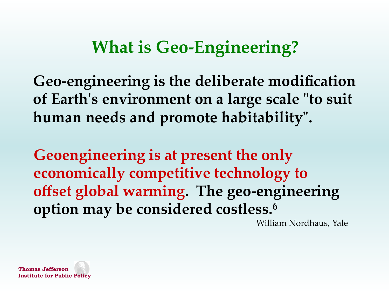# **What is Geo-Engineering?**

**Geo-engineering is the deliberate modification of Earth's environment on a large scale "to suit human needs and promote habitability".** 

**Geoengineering is at present the only economically competitive technology to offset global warming. The geo-engineering option may be considered costless.6**

William Nordhaus, Yale 

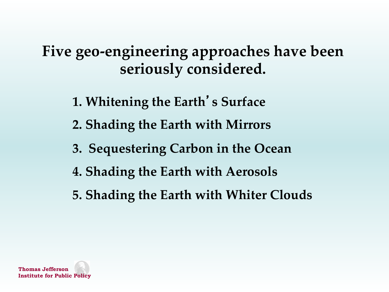**Five geo-engineering approaches have been**  seriously considered.

**1. Whitening the Earth**'**s Surface** 

**2. Shading the Earth with Mirrors** 

- **3. Sequestering Carbon in the Ocean**
- **4. Shading the Earth with Aerosols**
- **5. Shading the Earth with Whiter Clouds**

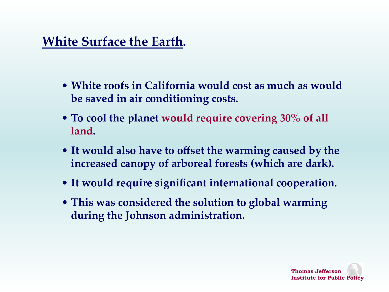## **White Surface the Earth.**

- **White roofs in California would cost as much as would be saved in air conditioning costs.**
- **To cool the planet would require covering 30% of all**  land.
- **It would also have to offset the warming caused by the increased canopy of arboreal forests (which are dark).**
- **It would require significant international cooperation.**
- **This was considered the solution to global warming during the Johnson administration.**

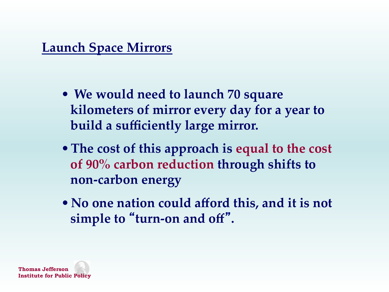#### **Launch Space Mirrors**

- • **We would need to launch 70 square kilometers of mirror every day for a year to**  build a sufficiently large mirror.
- •**The cost of this approach is equal to the cost of 90% carbon reduction through shifts to non-carbon energy**
- •**No one nation could afford this, and it is not simple to** "**turn-on and off**"**.**

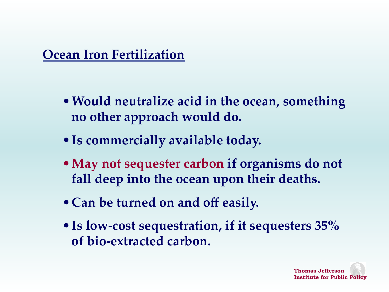**Ocean Iron Fertilization** 

- •**Would neutralize acid in the ocean, something no other approach would do.**
- •**Is commercially available today.**
- •**May not sequester carbon if organisms do not fall deep into the ocean upon their deaths.**
- •**Can be turned on and off easily.**
- •**Is low-cost sequestration, if it sequesters 35% of bio-extracted carbon.**

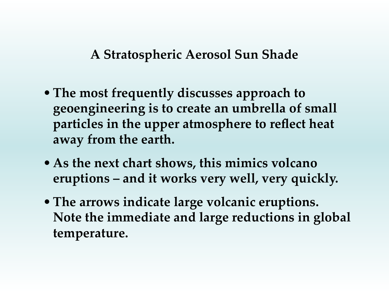A Stratospheric Aerosol Sun Shade

- •**The most frequently discusses approach to geoengineering is to create an umbrella of small particles in the upper atmosphere to reflect heat**  away from the earth.
- •**As the next chart shows, this mimics volcano**  eruptions – and it works very well, very quickly.
- •**The arrows indicate large volcanic eruptions. Note the immediate and large reductions in global temperature.**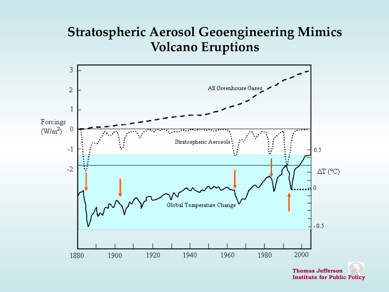#### **Stratospheric Aerosol Geoengineering Mimics Volcano Eruptions**



**Thomas Jefferson Institute for Public Policy**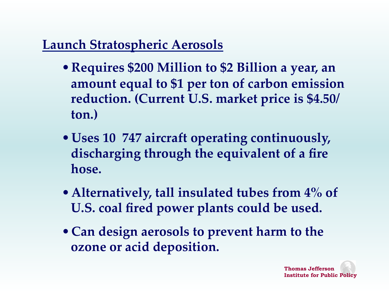## **Launch Stratospheric Aerosols**

- •**Requires \$200 Million to \$2 Billion a year, an amount equal to \$1 per ton of carbon emission reduction. (Current U.S. market price is \$4.50/ ton.)**
- •**Uses 10 747 aircraft operating continuously, discharging through the equivalent of a fire**  hose.
- •**Alternatively, tall insulated tubes from 4% of**  U.S. coal fired power plants could be used.
- •**Can design aerosols to prevent harm to the ozone or acid deposition.**

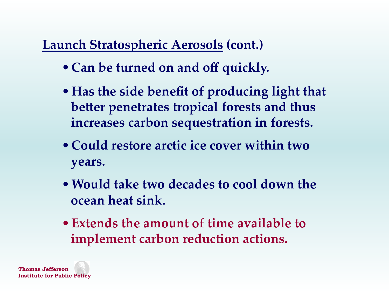## **Launch Stratospheric Aerosols (cont.)**

- •**Can be turned on and off quickly.**
- •**Has the side benefit of producing light that better penetrates tropical forests and thus increases carbon sequestration in forests.**
- •**Could restore arctic ice cover within two years.**
- •**Would take two decades to cool down the ocean heat sink.**
- •**Extends the amount of time available to implement carbon reduction actions.**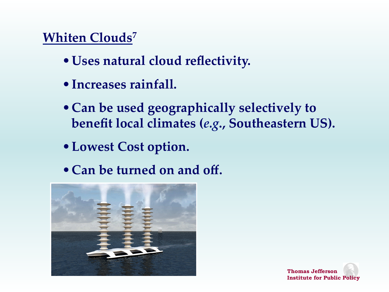## **Whiten Clouds<sup>7</sup>**

- •**Uses natural cloud reflectivity.**
- •**Increases rainfall.**
- •**Can be used geographically selectively to benefit local climates (***e.g***., Southeastern US).**
- •**Lowest Cost option.**
- •**Can be turned on and off.**



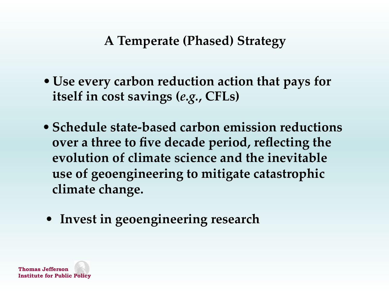### **A Temperate (Phased) Strategy**

- •**Use every carbon reduction action that pays for**  itself in cost savings (e.g., CFLs)
- **Schedule state-based carbon emission reductions over a three to five decade period, reflecting the evolution of climate science and the inevitable use of geoengineering to mitigate catastrophic climate change.**
- **Invest in geoengineering research**